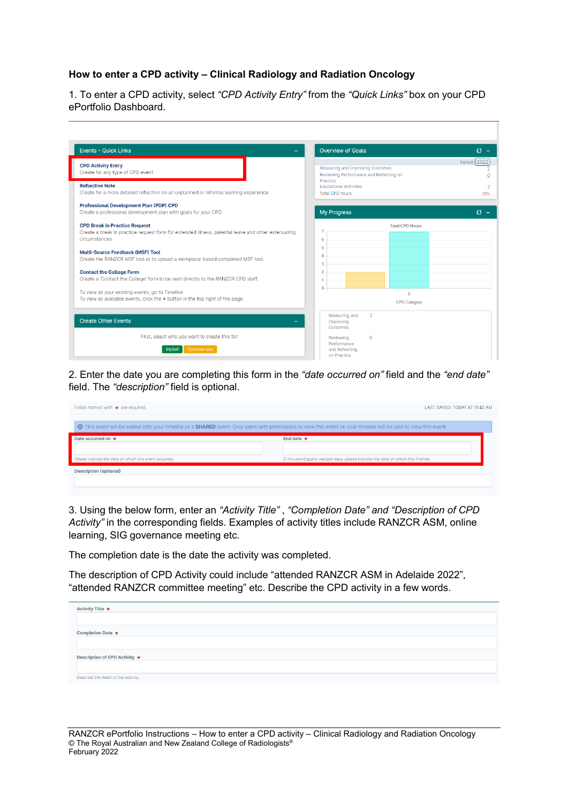## **How to enter a CPD activity – Clinical Radiology and Radiation Oncology**

1. To enter a CPD activity, select *"CPD Activity Entry"* from the *"Quick Links"* box on your CPD ePortfolio Dashboard.

| <b>Events - Quick Links</b>                                                                                                                                                                                                                                                                                                                                                                                                                                                                                                                              | <b>Overview of Goals</b>                                                                                                              | $\mathcal{O}$ - |
|----------------------------------------------------------------------------------------------------------------------------------------------------------------------------------------------------------------------------------------------------------------------------------------------------------------------------------------------------------------------------------------------------------------------------------------------------------------------------------------------------------------------------------------------------------|---------------------------------------------------------------------------------------------------------------------------------------|-----------------|
| <b>CPD Activity Entry</b><br>Create for any type of CPD event                                                                                                                                                                                                                                                                                                                                                                                                                                                                                            | Measuring and Improving Outcomes<br>Reviewing Performance and Reflecting on                                                           | Period: 2022    |
| <b>Reflective Note</b><br>Create for a more detailed reflection on an unplanned or informal learning experience                                                                                                                                                                                                                                                                                                                                                                                                                                          | Practice<br><b>Educational Activities</b><br><b>Total CPD hours</b>                                                                   | 18%             |
| <b>Professional Development Plan (PDP) CPD</b><br>Create a professional development plan with goals for your CPD                                                                                                                                                                                                                                                                                                                                                                                                                                         | <b>My Progress</b>                                                                                                                    | $\Omega$ -      |
| <b>CPD Break in Practice Request</b><br>Create a break in practice request form for extended illness, parental leave and other extenuating<br>circumstances.<br><b>Multi-Source Feedback (MSF) Tool</b><br>Create the RANZCR MSF tool or to upload a workplace-based completed MSF tool.<br><b>Contact the College Form</b><br>Create a 'Contact the College' form to be sent directly to the RANZCR CPD staff.<br>To view all your existing events, go to Timeline.<br>To view all available events, click the $+$ button in the top right of the page. | <b>Total CPD Hours</b><br>6<br>5<br>4<br>3<br>$\overline{2}$<br>$\mathbf{0}$<br>Q<br>CPD Category                                     |                 |
| <b>Create Other Events</b><br>First, select who you want to create this for:<br>Someone else<br><b>MvSelf</b>                                                                                                                                                                                                                                                                                                                                                                                                                                            | Measuring and<br>$\overline{2}$<br>Improving<br>Outcomes<br>$\mathbf{0}$<br>Reviewing<br>Performance<br>and Reflecting<br>on Practice |                 |

2. Enter the date you are completing this form in the *"date occurred on"* field and the *"end date"* field. The *"description"* field is optional.

| Fields marked with $\star$ are required.               | LAST SAVED: TODAY AT 11:42 AM                                                                                                                                            |
|--------------------------------------------------------|--------------------------------------------------------------------------------------------------------------------------------------------------------------------------|
|                                                        | <b>O</b> This event will be added onto your timeline as a SHARED event. Only users with permissions to view this event on your timeline will be able to view this event. |
| Date occurred on *                                     | End date $\star$                                                                                                                                                         |
| Please indicate the date on which this event occurred. | If this event spans multiple days, please indicate the date on which this finishes.                                                                                      |
| <b>Description (optional)</b>                          |                                                                                                                                                                          |
|                                                        |                                                                                                                                                                          |
|                                                        |                                                                                                                                                                          |

3. Using the below form, enter an *"Activity Title"* , *"Completion Date" and "Description of CPD Activity"* in the corresponding fields. Examples of activity titles include RANZCR ASM, online learning, SIG governance meeting etc.

The completion date is the date the activity was completed.

The description of CPD Activity could include "attended RANZCR ASM in Adelaide 2022", "attended RANZCR committee meeting" etc. Describe the CPD activity in a few words.

| Activity Title $\star$               |  |  |  |
|--------------------------------------|--|--|--|
| Completion Date ★                    |  |  |  |
| Description of CPD Activity ★        |  |  |  |
| Describe the detail of the activity. |  |  |  |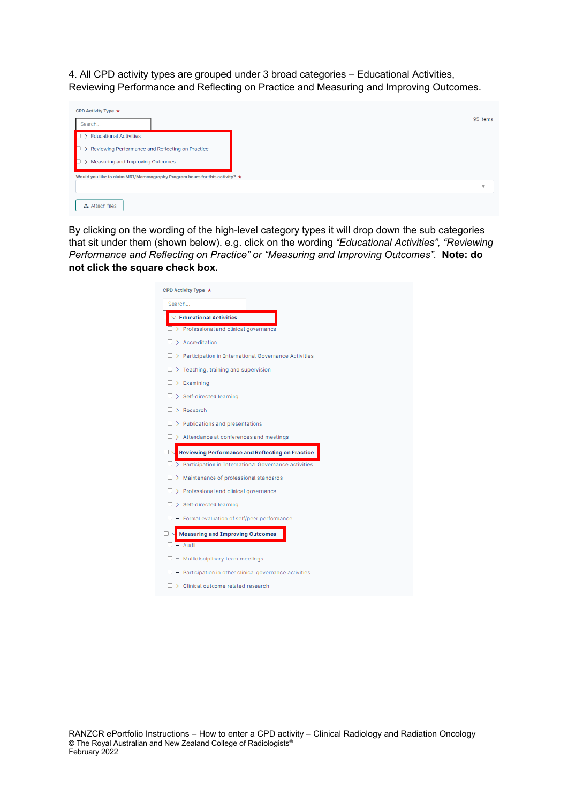4. All CPD activity types are grouped under 3 broad categories – Educational Activities, Reviewing Performance and Reflecting on Practice and Measuring and Improving Outcomes.

| CPD Activity Type $\star$                                                        |                         |
|----------------------------------------------------------------------------------|-------------------------|
| Search                                                                           | 95 items                |
| <b>Educational Activities</b>                                                    |                         |
| Reviewing Performance and Reflecting on Practice                                 |                         |
| Measuring and Improving Outcomes                                                 |                         |
| Would you like to claim MRI/Mammography Program hours for this activity? $\star$ |                         |
|                                                                                  | $\overline{\mathbf{v}}$ |
| <b>△</b> Attach files                                                            |                         |

By clicking on the wording of the high-level category types it will drop down the sub categories that sit under them (shown below). e.g. click on the wording *"Educational Activities", "Reviewing Performance and Reflecting on Practice" or "Measuring and Improving Outcomes".* **Note: do not click the square check box.** 

| Search                                                        |  |
|---------------------------------------------------------------|--|
| <b>Educational Activities</b>                                 |  |
| $\Box$ > Professional and clinical governance                 |  |
| $\Box$ > Accreditation                                        |  |
| > Participation in International Governance Activities<br>п   |  |
| $\Box$ > Teaching, training and supervision                   |  |
| $\Box$ > Examining                                            |  |
| $\Box$ > Self-directed learning                               |  |
| $\Box$ Research                                               |  |
| $\Box$ > Publications and presentations                       |  |
|                                                               |  |
| $\Box$ > Attendance at conferences and meetings               |  |
| <b>Reviewing Performance and Reflecting on Practice</b>       |  |
| $\Box$ > Participation in International Governance activities |  |
| $\Box$ > Maintenance of professional standards                |  |
| $\Box$ > Professional and clinical governance                 |  |
| $\Box$ > Self-directed learning                               |  |
| $\Box$ - Formal evaluation of self/peer performance           |  |
| <b>Measuring and Improving Outcomes</b>                       |  |
| $\Box$ - Audit                                                |  |
| $\Box$ - Multidisciplinary team meetings                      |  |
| - Participation in other clinical governance activities       |  |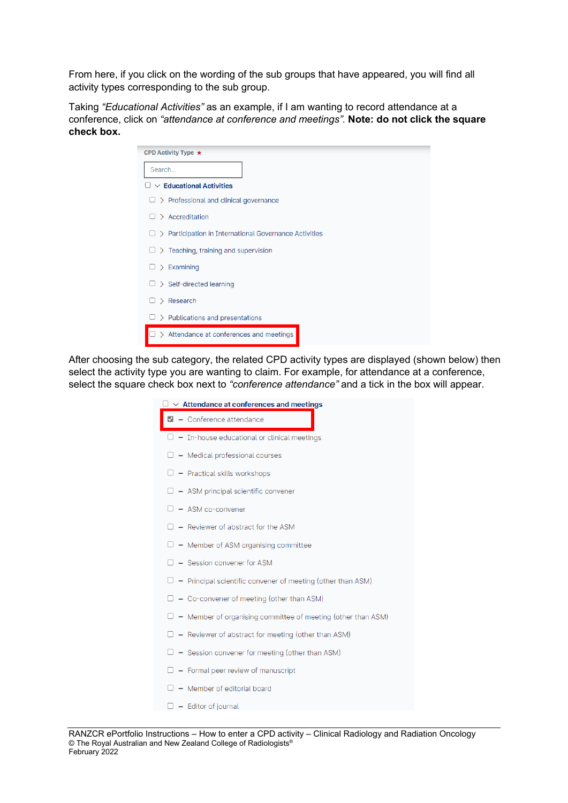From here, if you click on the wording of the sub groups that have appeared, you will find all activity types corresponding to the sub group.

Taking *"Educational Activities"* as an example, if I am wanting to record attendance at a conference, click on *"attendance at conference and meetings".* **Note: do not click the square check box.**

| CPD Activity Type $\star$                              |
|--------------------------------------------------------|
| Search                                                 |
| $\vee$ Educational Activities                          |
| > Professional and clinical governance                 |
| $\geq$ Accreditation                                   |
| > Participation in International Governance Activities |
| > Teaching, training and supervision<br>u              |
| $\geq$ Examining                                       |
| > Self-directed learning                               |
| Research<br>↘                                          |
| $\geq$ Publications and presentations                  |
| > Attendance at conferences and meetings               |

After choosing the sub category, the related CPD activity types are displayed (shown below) then select the activity type you are wanting to claim. For example, for attendance at a conference, select the square check box next to *"conference attendance"* and a tick in the box will appear.

| $\exists\vee\,$ Attendance at conferences and meetings              |
|---------------------------------------------------------------------|
| $\blacksquare$ - Conference attendance                              |
| $\Box$ - In-house educational or clinical meetings                  |
| $\Box$ - Medical professional courses                               |
| $\Box$ - Practical skills workshops                                 |
| $\Box$ - ASM principal scientific convener                          |
| $\Box$ - ASM co-convener                                            |
| $\Box$ - Reviewer of abstract for the ASM                           |
| $\Box$ - Member of ASM organising committee                         |
| $\Box$ - Session convener for ASM                                   |
| $\Box$ - Principal scientific convener of meeting (other than ASM)  |
| $\Box$ - Co-convener of meeting (other than ASM)                    |
| $\Box$ - Member of organising committee of meeting (other than ASM) |
| $\Box$ - Reviewer of abstract for meeting (other than ASM)          |
| $\Box$ - Session convener for meeting (other than ASM)              |
| $\Box$ - Formal peer review of manuscript                           |
| - Member of editorial board                                         |

 $\Box$  - Editor of journal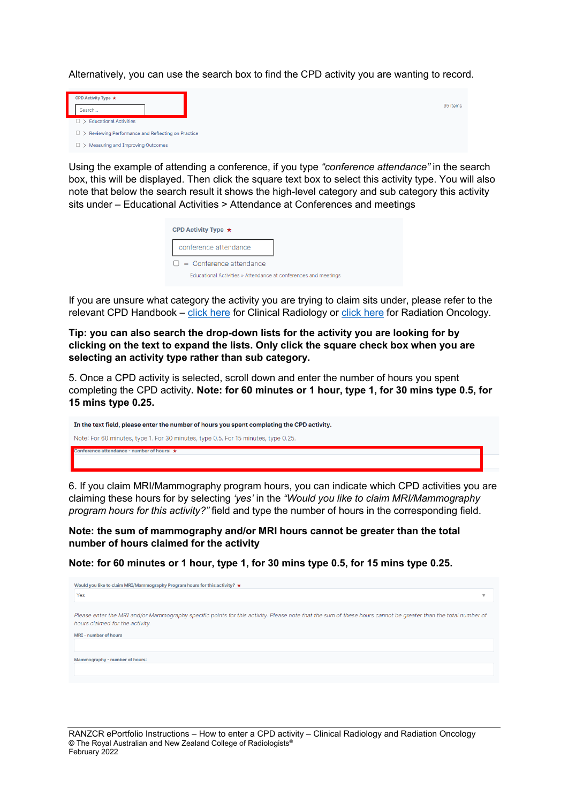Alternatively, you can use the search box to find the CPD activity you are wanting to record.

| CPD Activity Type $\star$                                 |  |
|-----------------------------------------------------------|--|
| Search                                                    |  |
| $\Box$ > Educational Activities                           |  |
| $\Box$ > Reviewing Performance and Reflecting on Practice |  |
| > Measuring and Improving Outcomes                        |  |

Using the example of attending a conference, if you type *"conference attendance"* in the search box, this will be displayed. Then click the square text box to select this activity type. You will also note that below the search result it shows the high-level category and sub category this activity sits under – Educational Activities > Attendance at Conferences and meetings

95 items

| CPD Activity Type $\star$                                       |  |
|-----------------------------------------------------------------|--|
| conference attendance                                           |  |
| $\Box$ - Conference attendance                                  |  |
| Educational Activities » Attendance at conferences and meetings |  |

If you are unsure what category the activity you are trying to claim sits under, please refer to the relevant CPD Handbook – [click here](https://www.ranzcr.com/doclink/2022-ranzcr-clinical-radiology-cpd-handbook/eyJ0eXAiOiJKV1QiLCJhbGciOiJIUzI1NiJ9.eyJzdWIiOiIyMDIyLXJhbnpjci1jbGluaWNhbC1yYWRpb2xvZ3ktY3BkLWhhbmRib29rIiwiaWF0IjoxNjQzODM3OTQxLCJleHAiOjE2NDM5MjQzNDF9.rzUIDQis_MxVbBEk3vWQ1H-a-rpUFkbbDXDrDPjcq9I) for Clinical Radiology or [click here](https://www.ranzcr.com/doclink/2022-ranzcr-radiation-oncology-cpd-handbook/eyJ0eXAiOiJKV1QiLCJhbGciOiJIUzI1NiJ9.eyJzdWIiOiIyMDIyLXJhbnpjci1yYWRpYXRpb24tb25jb2xvZ3ktY3BkLWhhbmRib29rIiwiaWF0IjoxNjQzODM3OTQxLCJleHAiOjE2NDM5MjQzNDF9.AIjkg6PV7LxaJwiLoanLOBZ9YF9wT2AAjWf_MdwcYJM) for Radiation Oncology.

**Tip: you can also search the drop-down lists for the activity you are looking for by clicking on the text to expand the lists. Only click the square check box when you are selecting an activity type rather than sub category.** 

5. Once a CPD activity is selected, scroll down and enter the number of hours you spent completing the CPD activity**. Note: for 60 minutes or 1 hour, type 1, for 30 mins type 0.5, for 15 mins type 0.25.**

| In the text field, please enter the number of hours you spent completing the CPD activity. |
|--------------------------------------------------------------------------------------------|
| Note: For 60 minutes, type 1. For 30 minutes, type 0.5. For 15 minutes, type 0.25.         |
| Conference attendance - number of hours: $\star$                                           |
|                                                                                            |

6. If you claim MRI/Mammography program hours, you can indicate which CPD activities you are claiming these hours for by selecting *'yes'* in the *"Would you like to claim MRI/Mammography program hours for this activity?"* field and type the number of hours in the corresponding field.

**Note: the sum of mammography and/or MRI hours cannot be greater than the total number of hours claimed for the activity** 

**Note: for 60 minutes or 1 hour, type 1, for 30 mins type 0.5, for 15 mins type 0.25.**

| Would you like to claim MRI/Mammography Program hours for this activity? $\star$                                                                                                                 |
|--------------------------------------------------------------------------------------------------------------------------------------------------------------------------------------------------|
| Yes<br>$\sim$                                                                                                                                                                                    |
| Please enter the MRI and/or Mammography specific points for this activity. Please note that the sum of these hours cannot be greater than the total number of<br>hours claimed for the activity. |
| MRI - number of hours                                                                                                                                                                            |
|                                                                                                                                                                                                  |
| Mammography - number of hours:                                                                                                                                                                   |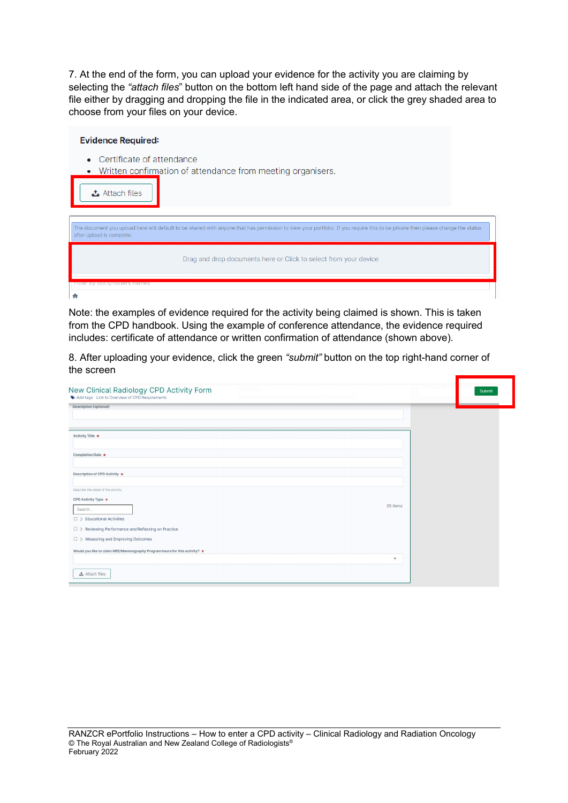7. At the end of the form, you can upload your evidence for the activity you are claiming by selecting the *"attach files*" button on the bottom left hand side of the page and attach the relevant file either by dragging and dropping the file in the indicated area, or click the grey shaded area to choose from your files on your device.

| <b>Evidence Required:</b>                                                                                                                                                                                   |  |  |  |  |
|-------------------------------------------------------------------------------------------------------------------------------------------------------------------------------------------------------------|--|--|--|--|
| • Certificate of attendance<br>Written confirmation of attendance from meeting organisers.<br><b>△</b> Attach files                                                                                         |  |  |  |  |
| The document you upload here will default to be shared with anyone that has permission to view your portfolio. If you require this to be private then please change the status<br>after upload is complete. |  |  |  |  |
| Drag and drop documents here or Click to select from your device                                                                                                                                            |  |  |  |  |
| Filter by docs/rotders names                                                                                                                                                                                |  |  |  |  |

Note: the examples of evidence required for the activity being claimed is shown. This is taken from the CPD handbook. Using the example of conference attendance, the evidence required includes: certificate of attendance or written confirmation of attendance (shown above).

8. After uploading your evidence, click the green *"submit"* button on the top right-hand corner of the screen

| New Clinical Radiology CPD Activity Form                                   | 16/2/2021 |                           | When you are fin | Submit |
|----------------------------------------------------------------------------|-----------|---------------------------|------------------|--------|
| Add tags Link to Overview of CPD Requirements                              |           |                           |                  |        |
| <b>Description (optional)</b>                                              |           |                           |                  |        |
|                                                                            |           |                           |                  |        |
| Activity Title ★                                                           |           |                           |                  |        |
|                                                                            |           |                           |                  |        |
| Completion Date *                                                          |           |                           |                  |        |
|                                                                            |           |                           |                  |        |
| Description of CPD Activity ★                                              |           |                           |                  |        |
| Describe the detail of the activity.                                       |           |                           |                  |        |
| CPD Activity Type ★                                                        |           |                           |                  |        |
| Search                                                                     |           | 95 items                  |                  |        |
| $\Box$ > Educational Activities                                            |           |                           |                  |        |
| $\Box$ > Reviewing Performance and Reflecting on Practice                  |           |                           |                  |        |
| □ > Measuring and Improving Outcomes                                       |           |                           |                  |        |
| Would you like to claim MRI/Mammography Program hours for this activity? ★ |           |                           |                  |        |
|                                                                            |           | $\boldsymbol{\mathrm{v}}$ |                  |        |
| <b>こ</b> Attach files                                                      |           |                           |                  |        |
|                                                                            |           |                           |                  |        |